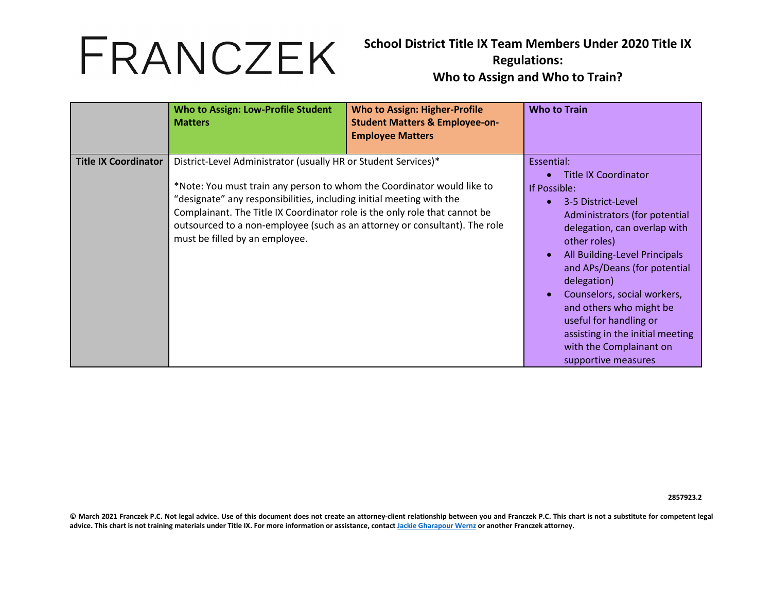**School District Title IX Team Members Under 2020 Title IX Regulations: Who to Assign and Who to Train?**

|                             | <b>Who to Assign: Low-Profile Student</b><br><b>Matters</b>                                                                                                                                                                                                                                                                                                                                                    | <b>Who to Assign: Higher-Profile</b><br><b>Student Matters &amp; Employee-on-</b><br><b>Employee Matters</b> | <b>Who to Train</b>                                                                                                                                                                                                                                                                                                                                                                                                        |
|-----------------------------|----------------------------------------------------------------------------------------------------------------------------------------------------------------------------------------------------------------------------------------------------------------------------------------------------------------------------------------------------------------------------------------------------------------|--------------------------------------------------------------------------------------------------------------|----------------------------------------------------------------------------------------------------------------------------------------------------------------------------------------------------------------------------------------------------------------------------------------------------------------------------------------------------------------------------------------------------------------------------|
| <b>Title IX Coordinator</b> | District-Level Administrator (usually HR or Student Services)*<br>*Note: You must train any person to whom the Coordinator would like to<br>"designate" any responsibilities, including initial meeting with the<br>Complainant. The Title IX Coordinator role is the only role that cannot be<br>outsourced to a non-employee (such as an attorney or consultant). The role<br>must be filled by an employee. |                                                                                                              | Essential:<br><b>Title IX Coordinator</b><br>If Possible:<br>3-5 District-Level<br>Administrators (for potential<br>delegation, can overlap with<br>other roles)<br>All Building-Level Principals<br>and APs/Deans (for potential<br>delegation)<br>Counselors, social workers,<br>and others who might be<br>useful for handling or<br>assisting in the initial meeting<br>with the Complainant on<br>supportive measures |

**2857923.2**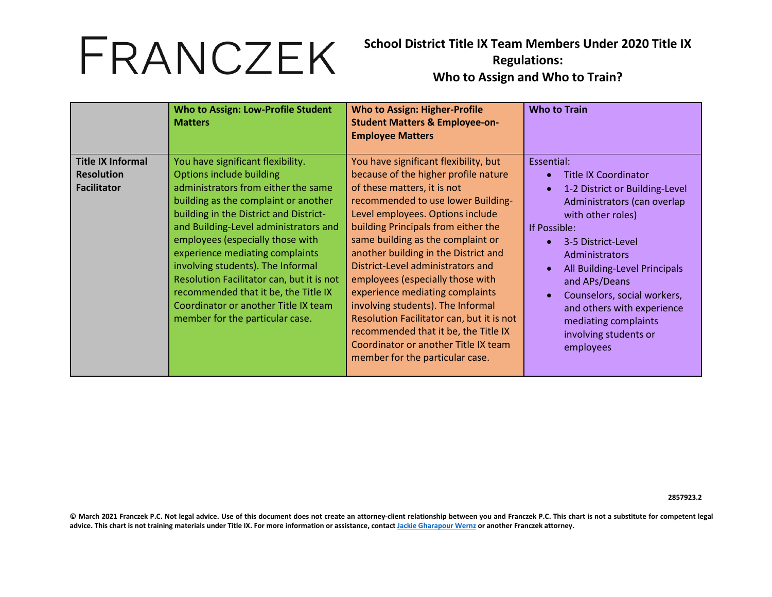**School District Title IX Team Members Under 2020 Title IX Regulations: Who to Assign and Who to Train?**

|                                                                     | <b>Who to Assign: Low-Profile Student</b><br><b>Matters</b>                                                                                                                                                                                                                                                                                                                                                                                                                                                 | <b>Who to Assign: Higher-Profile</b><br><b>Student Matters &amp; Employee-on-</b><br><b>Employee Matters</b>                                                                                                                                                                                                                                                                                                                                                                                                                                                                                                                | <b>Who to Train</b>                                                                                                                                                                                                                                                                                                                                                  |
|---------------------------------------------------------------------|-------------------------------------------------------------------------------------------------------------------------------------------------------------------------------------------------------------------------------------------------------------------------------------------------------------------------------------------------------------------------------------------------------------------------------------------------------------------------------------------------------------|-----------------------------------------------------------------------------------------------------------------------------------------------------------------------------------------------------------------------------------------------------------------------------------------------------------------------------------------------------------------------------------------------------------------------------------------------------------------------------------------------------------------------------------------------------------------------------------------------------------------------------|----------------------------------------------------------------------------------------------------------------------------------------------------------------------------------------------------------------------------------------------------------------------------------------------------------------------------------------------------------------------|
| <b>Title IX Informal</b><br><b>Resolution</b><br><b>Facilitator</b> | You have significant flexibility.<br>Options include building<br>administrators from either the same<br>building as the complaint or another<br>building in the District and District-<br>and Building-Level administrators and<br>employees (especially those with<br>experience mediating complaints<br>involving students). The Informal<br>Resolution Facilitator can, but it is not<br>recommended that it be, the Title IX<br>Coordinator or another Title IX team<br>member for the particular case. | You have significant flexibility, but<br>because of the higher profile nature<br>of these matters, it is not<br>recommended to use lower Building-<br>Level employees. Options include<br>building Principals from either the<br>same building as the complaint or<br>another building in the District and<br>District-Level administrators and<br>employees (especially those with<br>experience mediating complaints<br>involving students). The Informal<br>Resolution Facilitator can, but it is not<br>recommended that it be, the Title IX<br>Coordinator or another Title IX team<br>member for the particular case. | Essential:<br><b>Title IX Coordinator</b><br>1-2 District or Building-Level<br>Administrators (can overlap<br>with other roles)<br>If Possible:<br>3-5 District-Level<br>Administrators<br>All Building-Level Principals<br>and APs/Deans<br>Counselors, social workers,<br>and others with experience<br>mediating complaints<br>involving students or<br>employees |

**2857923.2**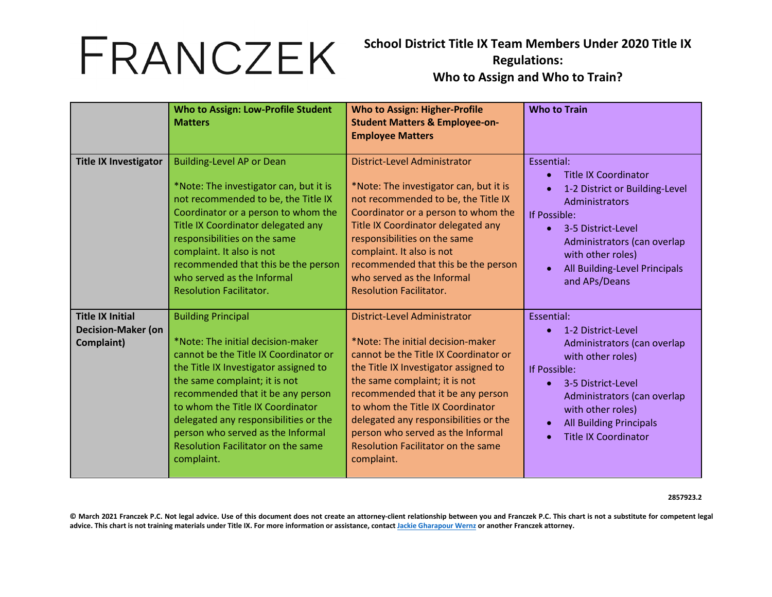**School District Title IX Team Members Under 2020 Title IX Regulations: Who to Assign and Who to Train?**

|                                                                    | <b>Who to Assign: Low-Profile Student</b><br><b>Matters</b>                                                                                                                                                                                                                                                                                                                                         | <b>Who to Assign: Higher-Profile</b><br><b>Student Matters &amp; Employee-on-</b><br><b>Employee Matters</b>                                                                                                                                                                                                                                                                                           | <b>Who to Train</b>                                                                                                                                                                                                                                                       |
|--------------------------------------------------------------------|-----------------------------------------------------------------------------------------------------------------------------------------------------------------------------------------------------------------------------------------------------------------------------------------------------------------------------------------------------------------------------------------------------|--------------------------------------------------------------------------------------------------------------------------------------------------------------------------------------------------------------------------------------------------------------------------------------------------------------------------------------------------------------------------------------------------------|---------------------------------------------------------------------------------------------------------------------------------------------------------------------------------------------------------------------------------------------------------------------------|
| <b>Title IX Investigator</b>                                       | <b>Building-Level AP or Dean</b><br>*Note: The investigator can, but it is<br>not recommended to be, the Title IX<br>Coordinator or a person to whom the<br>Title IX Coordinator delegated any<br>responsibilities on the same<br>complaint. It also is not<br>recommended that this be the person<br>who served as the Informal<br><b>Resolution Facilitator.</b>                                  | <b>District-Level Administrator</b><br>*Note: The investigator can, but it is<br>not recommended to be, the Title IX<br>Coordinator or a person to whom the<br>Title IX Coordinator delegated any<br>responsibilities on the same<br>complaint. It also is not<br>recommended that this be the person<br>who served as the Informal<br><b>Resolution Facilitator.</b>                                  | Essential:<br><b>Title IX Coordinator</b><br>1-2 District or Building-Level<br>Administrators<br>If Possible:<br>3-5 District-Level<br>$\bullet$<br>Administrators (can overlap<br>with other roles)<br>All Building-Level Principals<br>$\bullet$<br>and APs/Deans       |
| <b>Title IX Initial</b><br><b>Decision-Maker (on</b><br>Complaint) | <b>Building Principal</b><br>*Note: The initial decision-maker<br>cannot be the Title IX Coordinator or<br>the Title IX Investigator assigned to<br>the same complaint; it is not<br>recommended that it be any person<br>to whom the Title IX Coordinator<br>delegated any responsibilities or the<br>person who served as the Informal<br><b>Resolution Facilitator on the same</b><br>complaint. | <b>District-Level Administrator</b><br>*Note: The initial decision-maker<br>cannot be the Title IX Coordinator or<br>the Title IX Investigator assigned to<br>the same complaint; it is not<br>recommended that it be any person<br>to whom the Title IX Coordinator<br>delegated any responsibilities or the<br>person who served as the Informal<br>Resolution Facilitator on the same<br>complaint. | Essential:<br>1-2 District-Level<br>Administrators (can overlap<br>with other roles)<br>If Possible:<br>3-5 District-Level<br>$\bullet$<br>Administrators (can overlap<br>with other roles)<br><b>All Building Principals</b><br>$\bullet$<br><b>Title IX Coordinator</b> |

**2857923.2**